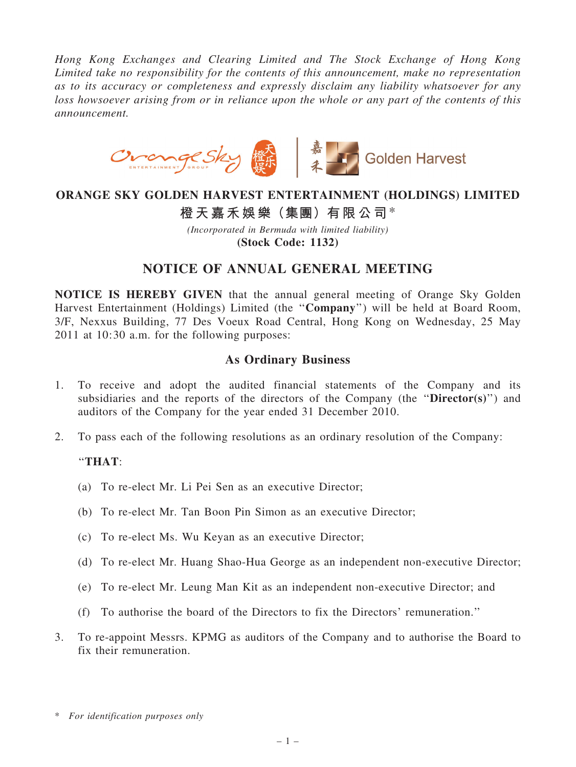Hong Kong Exchanges and Clearing Limited and The Stock Exchange of Hong Kong Limited take no responsibility for the contents of this announcement, make no representation as to its accuracy or completeness and expressly disclaim any liability whatsoever for any loss howsoever arising from or in reliance upon the whole or any part of the contents of this announcement.



### ORANGE SKY GOLDEN HARVEST ENTERTAINMENT (HOLDINGS) LIMITED

# 橙天嘉禾娛樂(集團)有限公司\*

(Incorporated in Bermuda with limited liability) (Stock Code: 1132)

## NOTICE OF ANNUAL GENERAL MEETING

NOTICE IS HEREBY GIVEN that the annual general meeting of Orange Sky Golden Harvest Entertainment (Holdings) Limited (the ''Company'') will be held at Board Room, 3/F, Nexxus Building, 77 Des Voeux Road Central, Hong Kong on Wednesday, 25 May 2011 at 10:30 a.m. for the following purposes:

### As Ordinary Business

- 1. To receive and adopt the audited financial statements of the Company and its subsidiaries and the reports of the directors of the Company (the "Director(s)") and auditors of the Company for the year ended 31 December 2010.
- 2. To pass each of the following resolutions as an ordinary resolution of the Company:

#### ''THAT:

- (a) To re-elect Mr. Li Pei Sen as an executive Director;
- (b) To re-elect Mr. Tan Boon Pin Simon as an executive Director;
- (c) To re-elect Ms. Wu Keyan as an executive Director;
- (d) To re-elect Mr. Huang Shao-Hua George as an independent non-executive Director;
- (e) To re-elect Mr. Leung Man Kit as an independent non-executive Director; and
- (f) To authorise the board of the Directors to fix the Directors' remuneration.''
- 3. To re-appoint Messrs. KPMG as auditors of the Company and to authorise the Board to fix their remuneration.

<sup>\*</sup> For identification purposes only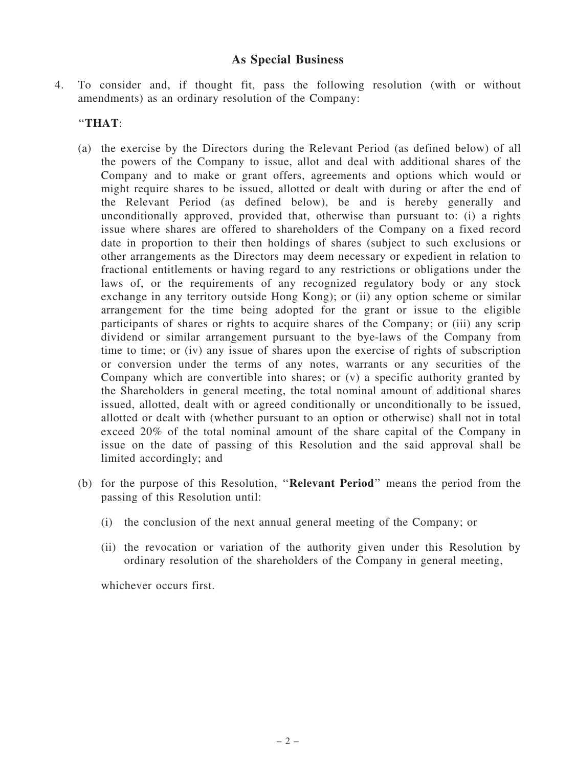### As Special Business

4. To consider and, if thought fit, pass the following resolution (with or without amendments) as an ordinary resolution of the Company:

### ''THAT:

- (a) the exercise by the Directors during the Relevant Period (as defined below) of all the powers of the Company to issue, allot and deal with additional shares of the Company and to make or grant offers, agreements and options which would or might require shares to be issued, allotted or dealt with during or after the end of the Relevant Period (as defined below), be and is hereby generally and unconditionally approved, provided that, otherwise than pursuant to: (i) a rights issue where shares are offered to shareholders of the Company on a fixed record date in proportion to their then holdings of shares (subject to such exclusions or other arrangements as the Directors may deem necessary or expedient in relation to fractional entitlements or having regard to any restrictions or obligations under the laws of, or the requirements of any recognized regulatory body or any stock exchange in any territory outside Hong Kong); or (ii) any option scheme or similar arrangement for the time being adopted for the grant or issue to the eligible participants of shares or rights to acquire shares of the Company; or (iii) any scrip dividend or similar arrangement pursuant to the bye-laws of the Company from time to time; or (iv) any issue of shares upon the exercise of rights of subscription or conversion under the terms of any notes, warrants or any securities of the Company which are convertible into shares; or (v) a specific authority granted by the Shareholders in general meeting, the total nominal amount of additional shares issued, allotted, dealt with or agreed conditionally or unconditionally to be issued, allotted or dealt with (whether pursuant to an option or otherwise) shall not in total exceed 20% of the total nominal amount of the share capital of the Company in issue on the date of passing of this Resolution and the said approval shall be limited accordingly; and
- (b) for the purpose of this Resolution, ''Relevant Period'' means the period from the passing of this Resolution until:
	- (i) the conclusion of the next annual general meeting of the Company; or
	- (ii) the revocation or variation of the authority given under this Resolution by ordinary resolution of the shareholders of the Company in general meeting,

whichever occurs first.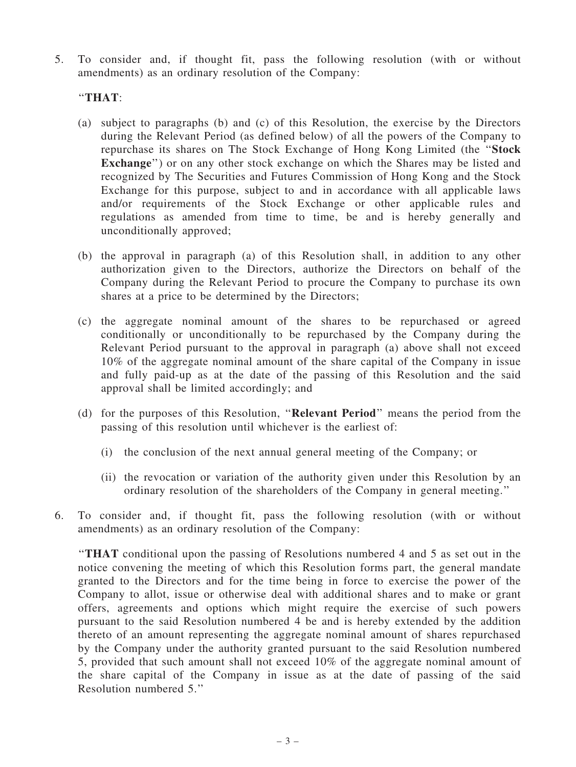5. To consider and, if thought fit, pass the following resolution (with or without amendments) as an ordinary resolution of the Company:

### ''THAT:

- (a) subject to paragraphs (b) and (c) of this Resolution, the exercise by the Directors during the Relevant Period (as defined below) of all the powers of the Company to repurchase its shares on The Stock Exchange of Hong Kong Limited (the ''Stock Exchange") or on any other stock exchange on which the Shares may be listed and recognized by The Securities and Futures Commission of Hong Kong and the Stock Exchange for this purpose, subject to and in accordance with all applicable laws and/or requirements of the Stock Exchange or other applicable rules and regulations as amended from time to time, be and is hereby generally and unconditionally approved;
- (b) the approval in paragraph (a) of this Resolution shall, in addition to any other authorization given to the Directors, authorize the Directors on behalf of the Company during the Relevant Period to procure the Company to purchase its own shares at a price to be determined by the Directors;
- (c) the aggregate nominal amount of the shares to be repurchased or agreed conditionally or unconditionally to be repurchased by the Company during the Relevant Period pursuant to the approval in paragraph (a) above shall not exceed 10% of the aggregate nominal amount of the share capital of the Company in issue and fully paid-up as at the date of the passing of this Resolution and the said approval shall be limited accordingly; and
- (d) for the purposes of this Resolution, ''Relevant Period'' means the period from the passing of this resolution until whichever is the earliest of:
	- (i) the conclusion of the next annual general meeting of the Company; or
	- (ii) the revocation or variation of the authority given under this Resolution by an ordinary resolution of the shareholders of the Company in general meeting.''
- 6. To consider and, if thought fit, pass the following resolution (with or without amendments) as an ordinary resolution of the Company:

''THAT conditional upon the passing of Resolutions numbered 4 and 5 as set out in the notice convening the meeting of which this Resolution forms part, the general mandate granted to the Directors and for the time being in force to exercise the power of the Company to allot, issue or otherwise deal with additional shares and to make or grant offers, agreements and options which might require the exercise of such powers pursuant to the said Resolution numbered 4 be and is hereby extended by the addition thereto of an amount representing the aggregate nominal amount of shares repurchased by the Company under the authority granted pursuant to the said Resolution numbered 5, provided that such amount shall not exceed 10% of the aggregate nominal amount of the share capital of the Company in issue as at the date of passing of the said Resolution numbered 5.''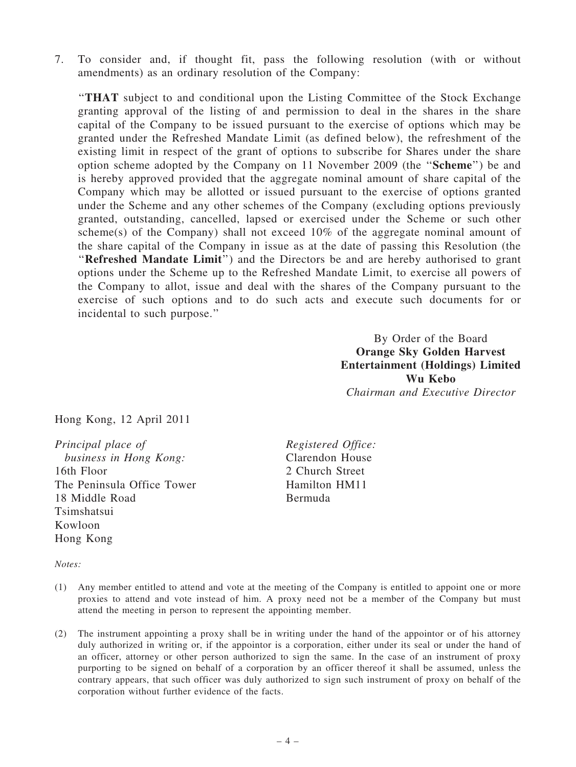7. To consider and, if thought fit, pass the following resolution (with or without amendments) as an ordinary resolution of the Company:

''THAT subject to and conditional upon the Listing Committee of the Stock Exchange granting approval of the listing of and permission to deal in the shares in the share capital of the Company to be issued pursuant to the exercise of options which may be granted under the Refreshed Mandate Limit (as defined below), the refreshment of the existing limit in respect of the grant of options to subscribe for Shares under the share option scheme adopted by the Company on 11 November 2009 (the ''Scheme'') be and is hereby approved provided that the aggregate nominal amount of share capital of the Company which may be allotted or issued pursuant to the exercise of options granted under the Scheme and any other schemes of the Company (excluding options previously granted, outstanding, cancelled, lapsed or exercised under the Scheme or such other scheme(s) of the Company) shall not exceed 10% of the aggregate nominal amount of the share capital of the Company in issue as at the date of passing this Resolution (the "Refreshed Mandate Limit") and the Directors be and are hereby authorised to grant options under the Scheme up to the Refreshed Mandate Limit, to exercise all powers of the Company to allot, issue and deal with the shares of the Company pursuant to the exercise of such options and to do such acts and execute such documents for or incidental to such purpose.''

> By Order of the Board Orange Sky Golden Harvest Entertainment (Holdings) Limited Wu Kebo Chairman and Executive Director

Hong Kong, 12 April 2011

Principal place of business in Hong Kong: 16th Floor The Peninsula Office Tower 18 Middle Road Tsimshatsui Kowloon Hong Kong

Registered Office: Clarendon House 2 Church Street Hamilton HM11 Bermuda

#### Notes:

- (1) Any member entitled to attend and vote at the meeting of the Company is entitled to appoint one or more proxies to attend and vote instead of him. A proxy need not be a member of the Company but must attend the meeting in person to represent the appointing member.
- (2) The instrument appointing a proxy shall be in writing under the hand of the appointor or of his attorney duly authorized in writing or, if the appointor is a corporation, either under its seal or under the hand of an officer, attorney or other person authorized to sign the same. In the case of an instrument of proxy purporting to be signed on behalf of a corporation by an officer thereof it shall be assumed, unless the contrary appears, that such officer was duly authorized to sign such instrument of proxy on behalf of the corporation without further evidence of the facts.